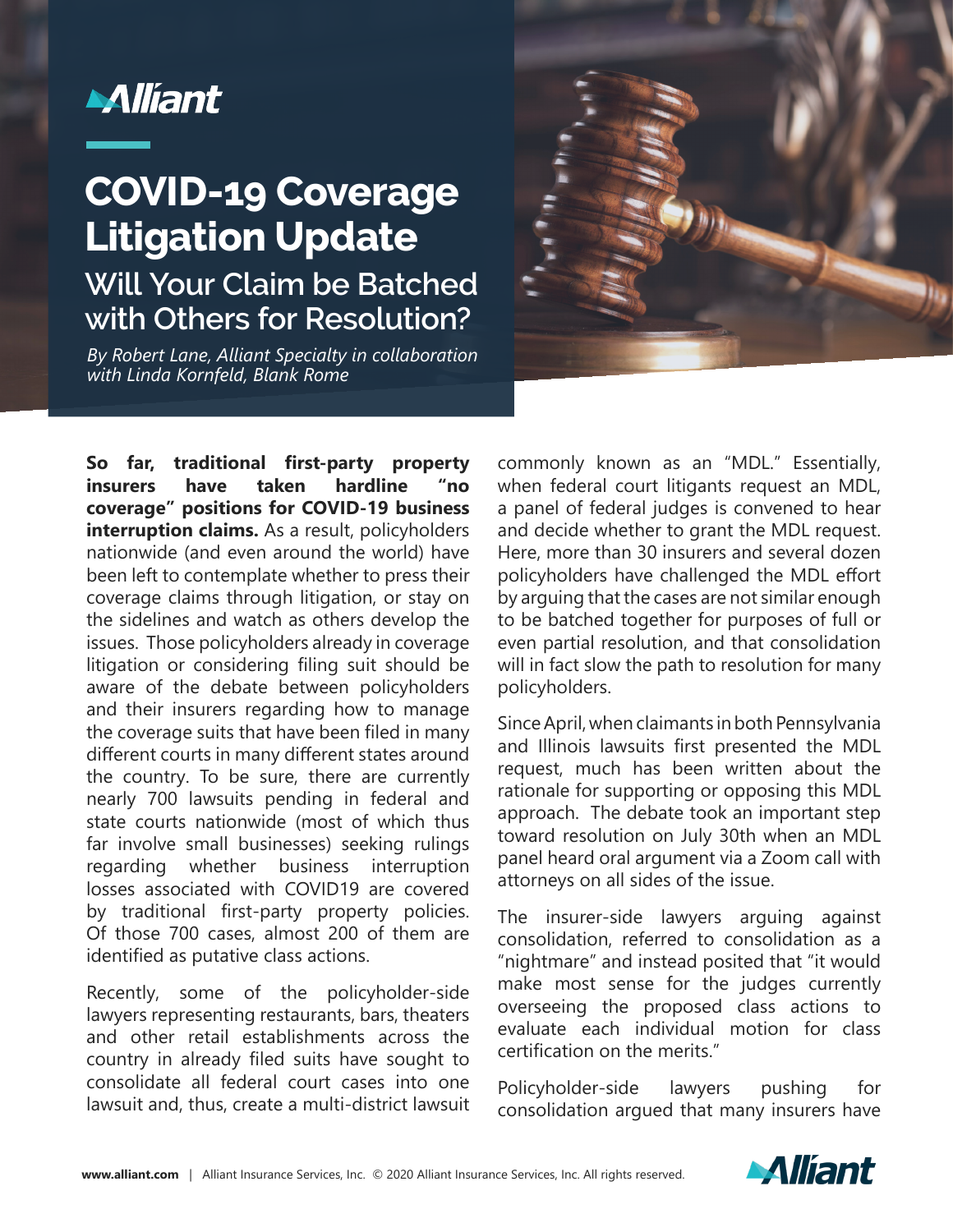

## **Will Your Claim be Batched with Others for Resolution? COVID-19 Coverage Litigation Update**

*By Robert Lane, Alliant Specialty in collaboration with Linda Kornfeld, Blank Rome*



**So far, traditional first-party property insurers have taken hardline "no coverage" positions for COVID-19 business interruption claims.** As a result, policyholders nationwide (and even around the world) have been left to contemplate whether to press their coverage claims through litigation, or stay on the sidelines and watch as others develop the issues. Those policyholders already in coverage litigation or considering filing suit should be aware of the debate between policyholders and their insurers regarding how to manage the coverage suits that have been filed in many different courts in many different states around the country. To be sure, there are currently nearly 700 lawsuits pending in federal and state courts nationwide (most of which thus far involve small businesses) seeking rulings regarding whether business interruption losses associated with COVID19 are covered by traditional first-party property policies. Of those 700 cases, almost 200 of them are identified as putative class actions.

Recently, some of the policyholder-side lawyers representing restaurants, bars, theaters and other retail establishments across the country in already filed suits have sought to consolidate all federal court cases into one lawsuit and, thus, create a multi-district lawsuit

commonly known as an "MDL." Essentially, when federal court litigants request an MDL, a panel of federal judges is convened to hear and decide whether to grant the MDL request. Here, more than 30 insurers and several dozen policyholders have challenged the MDL effort by arguing that the cases are not similar enough to be batched together for purposes of full or even partial resolution, and that consolidation will in fact slow the path to resolution for many policyholders.

Since April, when claimants in both Pennsylvania and Illinois lawsuits first presented the MDL request, much has been written about the rationale for supporting or opposing this MDL approach. The debate took an important step toward resolution on July 30th when an MDL panel heard oral argument via a Zoom call with attorneys on all sides of the issue.

The insurer-side lawyers arguing against consolidation, referred to consolidation as a "nightmare" and instead posited that "it would make most sense for the judges currently overseeing the proposed class actions to evaluate each individual motion for class certification on the merits."

Policyholder-side lawyers pushing for consolidation argued that many insurers have